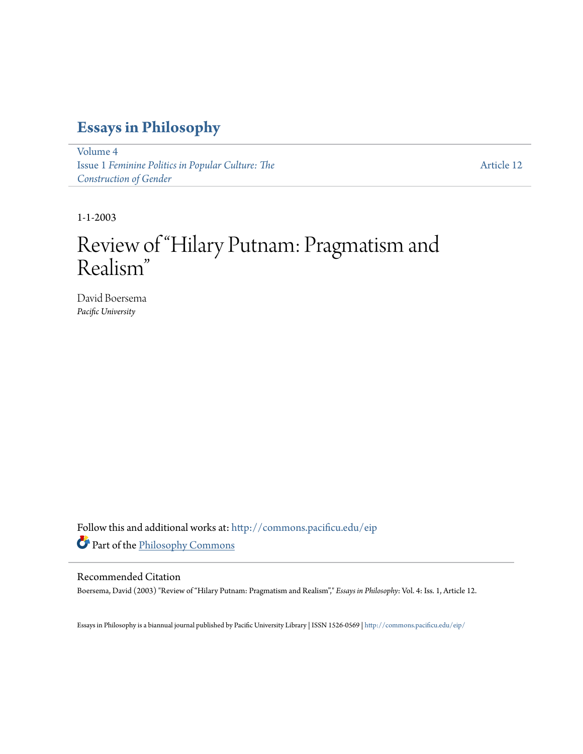### **[Essays in Philosophy](http://commons.pacificu.edu/eip?utm_source=commons.pacificu.edu%2Feip%2Fvol4%2Fiss1%2F12&utm_medium=PDF&utm_campaign=PDFCoverPages)**

[Volume 4](http://commons.pacificu.edu/eip/vol4?utm_source=commons.pacificu.edu%2Feip%2Fvol4%2Fiss1%2F12&utm_medium=PDF&utm_campaign=PDFCoverPages) Issue 1 *[Feminine Politics in Popular Culture: The](http://commons.pacificu.edu/eip/vol4/iss1?utm_source=commons.pacificu.edu%2Feip%2Fvol4%2Fiss1%2F12&utm_medium=PDF&utm_campaign=PDFCoverPages) [Construction of Gender](http://commons.pacificu.edu/eip/vol4/iss1?utm_source=commons.pacificu.edu%2Feip%2Fvol4%2Fiss1%2F12&utm_medium=PDF&utm_campaign=PDFCoverPages)*

[Article 12](http://commons.pacificu.edu/eip/vol4/iss1/12?utm_source=commons.pacificu.edu%2Feip%2Fvol4%2Fiss1%2F12&utm_medium=PDF&utm_campaign=PDFCoverPages)

1-1-2003

## Review of "Hilary Putnam: Pragmatism and Realism "

David Boersema *Pacific University*

Follow this and additional works at: [http://commons.pacificu.edu/eip](http://commons.pacificu.edu/eip?utm_source=commons.pacificu.edu%2Feip%2Fvol4%2Fiss1%2F12&utm_medium=PDF&utm_campaign=PDFCoverPages) Part of the [Philosophy Commons](http://network.bepress.com/hgg/discipline/525?utm_source=commons.pacificu.edu%2Feip%2Fvol4%2Fiss1%2F12&utm_medium=PDF&utm_campaign=PDFCoverPages)

#### Recommended Citation

Boersema, David (2003) "Review of "Hilary Putnam: Pragmatism and Realism"," *Essays in Philosophy*: Vol. 4: Iss. 1, Article 12.

Essays in Philosophy is a biannual journal published by Pacific University Library | ISSN 1526-0569 | <http://commons.pacificu.edu/eip/>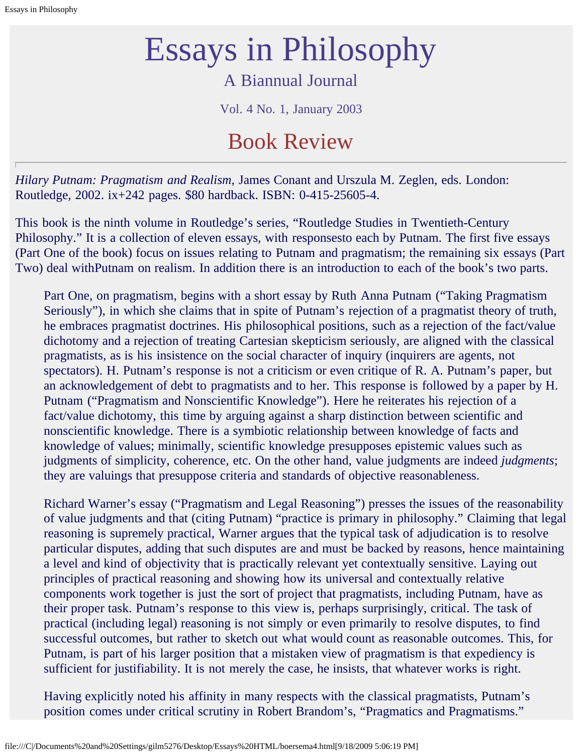# Essays in Philosophy

### A Biannual Journal

Vol. 4 No. 1, January 2003

## Book Review

*Hilary Putnam: Pragmatism and Realism*, James Conant and Urszula M. Zeglen, eds. London: Routledge, 2002. ix+242 pages. \$80 hardback. ISBN: 0-415-25605-4.

This book is the ninth volume in Routledge's series, "Routledge Studies in Twentieth-Century Philosophy." It is a collection of eleven essays, with responsesto each by Putnam. The first five essays (Part One of the book) focus on issues relating to Putnam and pragmatism; the remaining six essays (Part Two) deal withPutnam on realism. In addition there is an introduction to each of the book's two parts.

Part One, on pragmatism, begins with a short essay by Ruth Anna Putnam ("Taking Pragmatism Seriously"), in which she claims that in spite of Putnam's rejection of a pragmatist theory of truth, he embraces pragmatist doctrines. His philosophical positions, such as a rejection of the fact/value dichotomy and a rejection of treating Cartesian skepticism seriously, are aligned with the classical pragmatists, as is his insistence on the social character of inquiry (inquirers are agents, not spectators). H. Putnam's response is not a criticism or even critique of R. A. Putnam's paper, but an acknowledgement of debt to pragmatists and to her. This response is followed by a paper by H. Putnam ("Pragmatism and Nonscientific Knowledge"). Here he reiterates his rejection of a fact/value dichotomy, this time by arguing against a sharp distinction between scientific and nonscientific knowledge. There is a symbiotic relationship between knowledge of facts and knowledge of values; minimally, scientific knowledge presupposes epistemic values such as judgments of simplicity, coherence, etc. On the other hand, value judgments are indeed *judgments*; they are valuings that presuppose criteria and standards of objective reasonableness.

Richard Warner's essay ("Pragmatism and Legal Reasoning") presses the issues of the reasonability of value judgments and that (citing Putnam) "practice is primary in philosophy." Claiming that legal reasoning is supremely practical, Warner argues that the typical task of adjudication is to resolve particular disputes, adding that such disputes are and must be backed by reasons, hence maintaining a level and kind of objectivity that is practically relevant yet contextually sensitive. Laying out principles of practical reasoning and showing how its universal and contextually relative components work together is just the sort of project that pragmatists, including Putnam, have as their proper task. Putnam's response to this view is, perhaps surprisingly, critical. The task of practical (including legal) reasoning is not simply or even primarily to resolve disputes, to find successful outcomes, but rather to sketch out what would count as reasonable outcomes. This, for Putnam, is part of his larger position that a mistaken view of pragmatism is that expediency is sufficient for justifiability. It is not merely the case, he insists, that whatever works is right.

Having explicitly noted his affinity in many respects with the classical pragmatists, Putnam's position comes under critical scrutiny in Robert Brandom's, "Pragmatics and Pragmatisms."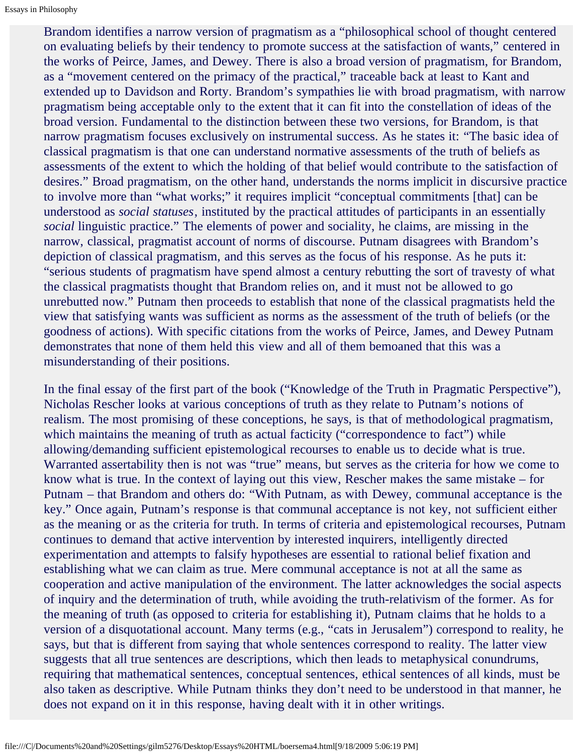Brandom identifies a narrow version of pragmatism as a "philosophical school of thought centered on evaluating beliefs by their tendency to promote success at the satisfaction of wants," centered in the works of Peirce, James, and Dewey. There is also a broad version of pragmatism, for Brandom, as a "movement centered on the primacy of the practical," traceable back at least to Kant and extended up to Davidson and Rorty. Brandom's sympathies lie with broad pragmatism, with narrow pragmatism being acceptable only to the extent that it can fit into the constellation of ideas of the broad version. Fundamental to the distinction between these two versions, for Brandom, is that narrow pragmatism focuses exclusively on instrumental success. As he states it: "The basic idea of classical pragmatism is that one can understand normative assessments of the truth of beliefs as assessments of the extent to which the holding of that belief would contribute to the satisfaction of desires." Broad pragmatism, on the other hand, understands the norms implicit in discursive practice to involve more than "what works;" it requires implicit "conceptual commitments [that] can be understood as *social statuses*, instituted by the practical attitudes of participants in an essentially *social* linguistic practice." The elements of power and sociality, he claims, are missing in the narrow, classical, pragmatist account of norms of discourse. Putnam disagrees with Brandom's depiction of classical pragmatism, and this serves as the focus of his response. As he puts it: "serious students of pragmatism have spend almost a century rebutting the sort of travesty of what the classical pragmatists thought that Brandom relies on, and it must not be allowed to go unrebutted now." Putnam then proceeds to establish that none of the classical pragmatists held the view that satisfying wants was sufficient as norms as the assessment of the truth of beliefs (or the goodness of actions). With specific citations from the works of Peirce, James, and Dewey Putnam demonstrates that none of them held this view and all of them bemoaned that this was a misunderstanding of their positions.

In the final essay of the first part of the book ("Knowledge of the Truth in Pragmatic Perspective"), Nicholas Rescher looks at various conceptions of truth as they relate to Putnam's notions of realism. The most promising of these conceptions, he says, is that of methodological pragmatism, which maintains the meaning of truth as actual facticity ("correspondence to fact") while allowing/demanding sufficient epistemological recourses to enable us to decide what is true. Warranted assertability then is not was "true" means, but serves as the criteria for how we come to know what is true. In the context of laying out this view, Rescher makes the same mistake – for Putnam – that Brandom and others do: "With Putnam, as with Dewey, communal acceptance is the key." Once again, Putnam's response is that communal acceptance is not key, not sufficient either as the meaning or as the criteria for truth. In terms of criteria and epistemological recourses, Putnam continues to demand that active intervention by interested inquirers, intelligently directed experimentation and attempts to falsify hypotheses are essential to rational belief fixation and establishing what we can claim as true. Mere communal acceptance is not at all the same as cooperation and active manipulation of the environment. The latter acknowledges the social aspects of inquiry and the determination of truth, while avoiding the truth-relativism of the former. As for the meaning of truth (as opposed to criteria for establishing it), Putnam claims that he holds to a version of a disquotational account. Many terms (e.g., "cats in Jerusalem") correspond to reality, he says, but that is different from saying that whole sentences correspond to reality. The latter view suggests that all true sentences are descriptions, which then leads to metaphysical conundrums, requiring that mathematical sentences, conceptual sentences, ethical sentences of all kinds, must be also taken as descriptive. While Putnam thinks they don't need to be understood in that manner, he does not expand on it in this response, having dealt with it in other writings.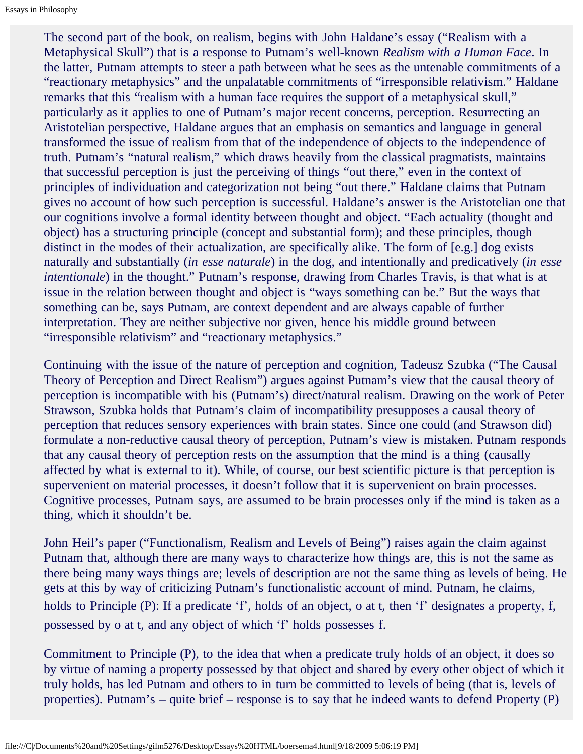The second part of the book, on realism, begins with John Haldane's essay ("Realism with a Metaphysical Skull") that is a response to Putnam's well-known *Realism with a Human Face*. In the latter, Putnam attempts to steer a path between what he sees as the untenable commitments of a "reactionary metaphysics" and the unpalatable commitments of "irresponsible relativism." Haldane remarks that this "realism with a human face requires the support of a metaphysical skull," particularly as it applies to one of Putnam's major recent concerns, perception. Resurrecting an Aristotelian perspective, Haldane argues that an emphasis on semantics and language in general transformed the issue of realism from that of the independence of objects to the independence of truth. Putnam's "natural realism," which draws heavily from the classical pragmatists, maintains that successful perception is just the perceiving of things "out there," even in the context of principles of individuation and categorization not being "out there." Haldane claims that Putnam gives no account of how such perception is successful. Haldane's answer is the Aristotelian one that our cognitions involve a formal identity between thought and object. "Each actuality (thought and object) has a structuring principle (concept and substantial form); and these principles, though distinct in the modes of their actualization, are specifically alike. The form of [e.g.] dog exists naturally and substantially (*in esse naturale*) in the dog, and intentionally and predicatively (*in esse intentionale*) in the thought." Putnam's response, drawing from Charles Travis, is that what is at issue in the relation between thought and object is "ways something can be." But the ways that something can be, says Putnam, are context dependent and are always capable of further interpretation. They are neither subjective nor given, hence his middle ground between "irresponsible relativism" and "reactionary metaphysics."

Continuing with the issue of the nature of perception and cognition, Tadeusz Szubka ("The Causal Theory of Perception and Direct Realism") argues against Putnam's view that the causal theory of perception is incompatible with his (Putnam's) direct/natural realism. Drawing on the work of Peter Strawson, Szubka holds that Putnam's claim of incompatibility presupposes a causal theory of perception that reduces sensory experiences with brain states. Since one could (and Strawson did) formulate a non-reductive causal theory of perception, Putnam's view is mistaken. Putnam responds that any causal theory of perception rests on the assumption that the mind is a thing (causally affected by what is external to it). While, of course, our best scientific picture is that perception is supervenient on material processes, it doesn't follow that it is supervenient on brain processes. Cognitive processes, Putnam says, are assumed to be brain processes only if the mind is taken as a thing, which it shouldn't be.

John Heil's paper ("Functionalism, Realism and Levels of Being") raises again the claim against Putnam that, although there are many ways to characterize how things are, this is not the same as there being many ways things are; levels of description are not the same thing as levels of being. He gets at this by way of criticizing Putnam's functionalistic account of mind. Putnam, he claims, holds to Principle (P): If a predicate 'f', holds of an object, o at t, then 'f' designates a property, f, possessed by o at t, and any object of which 'f' holds possesses f.

Commitment to Principle (P), to the idea that when a predicate truly holds of an object, it does so by virtue of naming a property possessed by that object and shared by every other object of which it truly holds, has led Putnam and others to in turn be committed to levels of being (that is, levels of properties). Putnam's – quite brief – response is to say that he indeed wants to defend Property (P)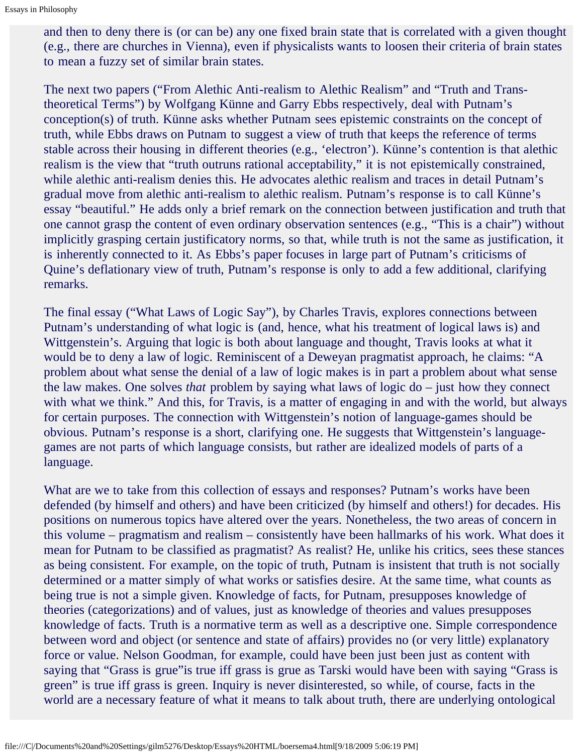and then to deny there is (or can be) any one fixed brain state that is correlated with a given thought (e.g., there are churches in Vienna), even if physicalists wants to loosen their criteria of brain states to mean a fuzzy set of similar brain states.

The next two papers ("From Alethic Anti-realism to Alethic Realism" and "Truth and Transtheoretical Terms") by Wolfgang Künne and Garry Ebbs respectively, deal with Putnam's conception(s) of truth. Künne asks whether Putnam sees epistemic constraints on the concept of truth, while Ebbs draws on Putnam to suggest a view of truth that keeps the reference of terms stable across their housing in different theories (e.g., 'electron'). Künne's contention is that alethic realism is the view that "truth outruns rational acceptability," it is not epistemically constrained, while alethic anti-realism denies this. He advocates alethic realism and traces in detail Putnam's gradual move from alethic anti-realism to alethic realism. Putnam's response is to call Künne's essay "beautiful." He adds only a brief remark on the connection between justification and truth that one cannot grasp the content of even ordinary observation sentences (e.g., "This is a chair") without implicitly grasping certain justificatory norms, so that, while truth is not the same as justification, it is inherently connected to it. As Ebbs's paper focuses in large part of Putnam's criticisms of Quine's deflationary view of truth, Putnam's response is only to add a few additional, clarifying remarks.

The final essay ("What Laws of Logic Say"), by Charles Travis, explores connections between Putnam's understanding of what logic is (and, hence, what his treatment of logical laws is) and Wittgenstein's. Arguing that logic is both about language and thought, Travis looks at what it would be to deny a law of logic. Reminiscent of a Deweyan pragmatist approach, he claims: "A problem about what sense the denial of a law of logic makes is in part a problem about what sense the law makes. One solves *that* problem by saying what laws of logic do – just how they connect with what we think." And this, for Travis, is a matter of engaging in and with the world, but always for certain purposes. The connection with Wittgenstein's notion of language-games should be obvious. Putnam's response is a short, clarifying one. He suggests that Wittgenstein's languagegames are not parts of which language consists, but rather are idealized models of parts of a language.

What are we to take from this collection of essays and responses? Putnam's works have been defended (by himself and others) and have been criticized (by himself and others!) for decades. His positions on numerous topics have altered over the years. Nonetheless, the two areas of concern in this volume – pragmatism and realism – consistently have been hallmarks of his work. What does it mean for Putnam to be classified as pragmatist? As realist? He, unlike his critics, sees these stances as being consistent. For example, on the topic of truth, Putnam is insistent that truth is not socially determined or a matter simply of what works or satisfies desire. At the same time, what counts as being true is not a simple given. Knowledge of facts, for Putnam, presupposes knowledge of theories (categorizations) and of values, just as knowledge of theories and values presupposes knowledge of facts. Truth is a normative term as well as a descriptive one. Simple correspondence between word and object (or sentence and state of affairs) provides no (or very little) explanatory force or value. Nelson Goodman, for example, could have been just been just as content with saying that "Grass is grue" is true iff grass is grue as Tarski would have been with saying "Grass is green" is true iff grass is green. Inquiry is never disinterested, so while, of course, facts in the world are a necessary feature of what it means to talk about truth, there are underlying ontological